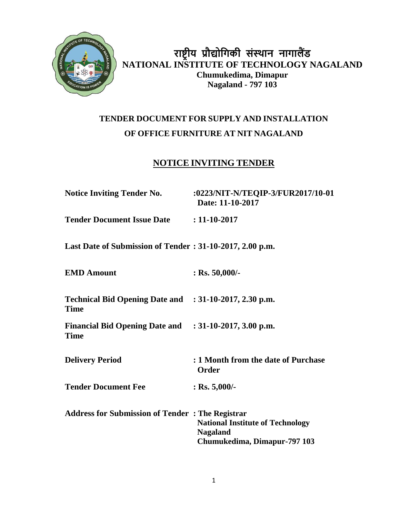

**राष्ट्रीय प्रौद्योगिकी संस्थान नािालैंड NATIONAL INSTITUTE OF TECHNOLOGY NAGALAND Chumukedima, Dimapur Nagaland - 797 103**

# **TENDER DOCUMENT FOR SUPPLY AND INSTALLATION OF OFFICE FURNITURE AT NIT NAGALAND**

## **NOTICE INVITING TENDER**

| <b>Notice Inviting Tender No.</b>                                     | :0223/NIT-N/TEQIP-3/FUR2017/10-01<br>Date: 11-10-2017                                      |
|-----------------------------------------------------------------------|--------------------------------------------------------------------------------------------|
| <b>Tender Document Issue Date : 11-10-2017</b>                        |                                                                                            |
| Last Date of Submission of Tender: 31-10-2017, 2.00 p.m.              |                                                                                            |
| <b>EMD Amount</b>                                                     | $:$ Rs. 50,000/-                                                                           |
| Technical Bid Opening Date and : 31-10-2017, 2.30 p.m.<br><b>Time</b> |                                                                                            |
| Financial Bid Opening Date and : 31-10-2017, 3.00 p.m.<br><b>Time</b> |                                                                                            |
| <b>Delivery Period</b>                                                | : 1 Month from the date of Purchase<br><b>Order</b>                                        |
| <b>Tender Document Fee</b>                                            | : Rs. $5,000/$ -                                                                           |
| <b>Address for Submission of Tender: The Registrar</b>                | <b>National Institute of Technology</b><br><b>Nagaland</b><br>Chumukedima, Dimapur-797 103 |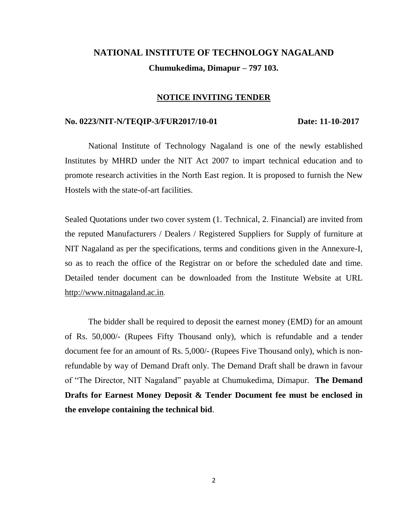# **NATIONAL INSTITUTE OF TECHNOLOGY NAGALAND Chumukedima, Dimapur – 797 103.**

#### **NOTICE INVITING TENDER**

#### **No. 0223/NIT-N/TEQIP-3/FUR2017/10-01 Date: 11-10-2017**

National Institute of Technology Nagaland is one of the newly established Institutes by MHRD under the NIT Act 2007 to impart technical education and to promote research activities in the North East region. It is proposed to furnish the New Hostels with the state-of-art facilities.

Sealed Quotations under two cover system (1. Technical, 2. Financial) are invited from the reputed Manufacturers / Dealers / Registered Suppliers for Supply of furniture at NIT Nagaland as per the specifications, terms and conditions given in the Annexure-I, so as to reach the office of the Registrar on or before the scheduled date and time. Detailed tender document can be downloaded from the Institute Website at URL [http://www.nitnagaland.ac.in](http://www.nitnagaland.ac.in/).

The bidder shall be required to deposit the earnest money (EMD) for an amount of Rs. 50,000/- (Rupees Fifty Thousand only), which is refundable and a tender document fee for an amount of Rs. 5,000/- (Rupees Five Thousand only), which is nonrefundable by way of Demand Draft only. The Demand Draft shall be drawn in favour of "The Director, NIT Nagaland" payable at Chumukedima, Dimapur. **The Demand Drafts for Earnest Money Deposit & Tender Document fee must be enclosed in the envelope containing the technical bid**.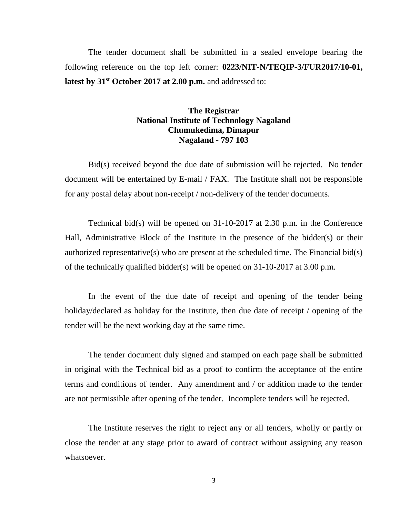The tender document shall be submitted in a sealed envelope bearing the following reference on the top left corner: **0223/NIT-N/TEQIP-3/FUR2017/10-01, latest by 31st October 2017 at 2.00 p.m.** and addressed to:

#### **The Registrar National Institute of Technology Nagaland Chumukedima, Dimapur Nagaland - 797 103**

Bid(s) received beyond the due date of submission will be rejected. No tender document will be entertained by E-mail / FAX. The Institute shall not be responsible for any postal delay about non-receipt / non-delivery of the tender documents.

Technical bid(s) will be opened on 31-10-2017 at 2.30 p.m. in the Conference Hall, Administrative Block of the Institute in the presence of the bidder(s) or their authorized representative(s) who are present at the scheduled time. The Financial bid(s) of the technically qualified bidder(s) will be opened on 31-10-2017 at 3.00 p.m.

In the event of the due date of receipt and opening of the tender being holiday/declared as holiday for the Institute, then due date of receipt / opening of the tender will be the next working day at the same time.

The tender document duly signed and stamped on each page shall be submitted in original with the Technical bid as a proof to confirm the acceptance of the entire terms and conditions of tender. Any amendment and / or addition made to the tender are not permissible after opening of the tender. Incomplete tenders will be rejected.

The Institute reserves the right to reject any or all tenders, wholly or partly or close the tender at any stage prior to award of contract without assigning any reason whatsoever.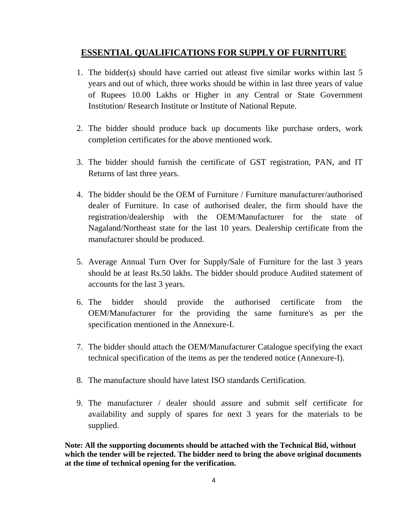## **ESSENTIAL QUALIFICATIONS FOR SUPPLY OF FURNITURE**

- 1. The bidder(s) should have carried out atleast five similar works within last 5 years and out of which, three works should be within in last three years of value of Rupees 10.00 Lakhs or Higher in any Central or State Government Institution/ Research Institute or Institute of National Repute.
- 2. The bidder should produce back up documents like purchase orders, work completion certificates for the above mentioned work.
- 3. The bidder should furnish the certificate of GST registration, PAN, and IT Returns of last three years.
- 4. The bidder should be the OEM of Furniture / Furniture manufacturer/authorised dealer of Furniture. In case of authorised dealer, the firm should have the registration/dealership with the OEM/Manufacturer for the state of Nagaland/Northeast state for the last 10 years. Dealership certificate from the manufacturer should be produced.
- 5. Average Annual Turn Over for Supply/Sale of Furniture for the last 3 years should be at least Rs.50 lakhs. The bidder should produce Audited statement of accounts for the last 3 years.
- 6. The bidder should provide the authorised certificate from the OEM/Manufacturer for the providing the same furniture's as per the specification mentioned in the Annexure-I.
- 7. The bidder should attach the OEM/Manufacturer Catalogue specifying the exact technical specification of the items as per the tendered notice (Annexure-I).
- 8. The manufacture should have latest ISO standards Certification.
- 9. The manufacturer / dealer should assure and submit self certificate for availability and supply of spares for next 3 years for the materials to be supplied.

**Note: All the supporting documents should be attached with the Technical Bid, without which the tender will be rejected. The bidder need to bring the above original documents at the time of technical opening for the verification.**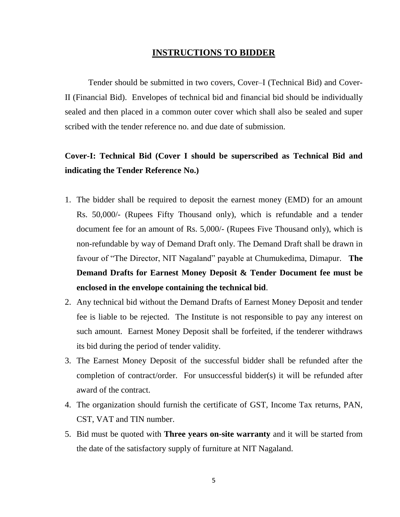#### **INSTRUCTIONS TO BIDDER**

Tender should be submitted in two covers, Cover–I (Technical Bid) and Cover-II (Financial Bid). Envelopes of technical bid and financial bid should be individually sealed and then placed in a common outer cover which shall also be sealed and super scribed with the tender reference no. and due date of submission.

# **Cover-I: Technical Bid (Cover I should be superscribed as Technical Bid and indicating the Tender Reference No.)**

- 1. The bidder shall be required to deposit the earnest money (EMD) for an amount Rs. 50,000/- (Rupees Fifty Thousand only), which is refundable and a tender document fee for an amount of Rs. 5,000/- (Rupees Five Thousand only), which is non-refundable by way of Demand Draft only. The Demand Draft shall be drawn in favour of "The Director, NIT Nagaland" payable at Chumukedima, Dimapur. **The Demand Drafts for Earnest Money Deposit & Tender Document fee must be enclosed in the envelope containing the technical bid**.
- 2. Any technical bid without the Demand Drafts of Earnest Money Deposit and tender fee is liable to be rejected. The Institute is not responsible to pay any interest on such amount. Earnest Money Deposit shall be forfeited, if the tenderer withdraws its bid during the period of tender validity.
- 3. The Earnest Money Deposit of the successful bidder shall be refunded after the completion of contract/order. For unsuccessful bidder(s) it will be refunded after award of the contract.
- 4. The organization should furnish the certificate of GST, Income Tax returns, PAN, CST, VAT and TIN number.
- 5. Bid must be quoted with **Three years on-site warranty** and it will be started from the date of the satisfactory supply of furniture at NIT Nagaland.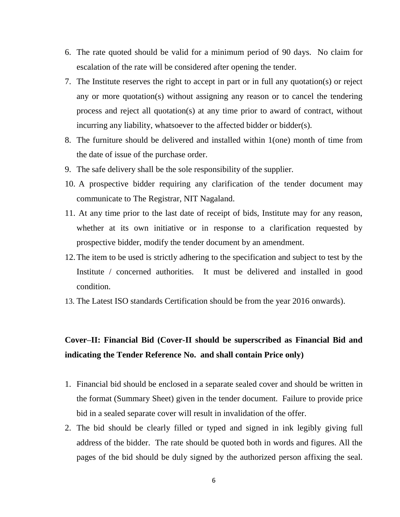- 6. The rate quoted should be valid for a minimum period of 90 days. No claim for escalation of the rate will be considered after opening the tender.
- 7. The Institute reserves the right to accept in part or in full any quotation(s) or reject any or more quotation(s) without assigning any reason or to cancel the tendering process and reject all quotation(s) at any time prior to award of contract, without incurring any liability, whatsoever to the affected bidder or bidder(s).
- 8. The furniture should be delivered and installed within 1(one) month of time from the date of issue of the purchase order.
- 9. The safe delivery shall be the sole responsibility of the supplier.
- 10. A prospective bidder requiring any clarification of the tender document may communicate to The Registrar, NIT Nagaland.
- 11. At any time prior to the last date of receipt of bids, Institute may for any reason, whether at its own initiative or in response to a clarification requested by prospective bidder, modify the tender document by an amendment.
- 12.The item to be used is strictly adhering to the specification and subject to test by the Institute / concerned authorities. It must be delivered and installed in good condition.
- 13. The Latest ISO standards Certification should be from the year 2016 onwards).

# **Cover–II: Financial Bid (Cover-II should be superscribed as Financial Bid and indicating the Tender Reference No. and shall contain Price only)**

- 1. Financial bid should be enclosed in a separate sealed cover and should be written in the format (Summary Sheet) given in the tender document. Failure to provide price bid in a sealed separate cover will result in invalidation of the offer.
- 2. The bid should be clearly filled or typed and signed in ink legibly giving full address of the bidder. The rate should be quoted both in words and figures. All the pages of the bid should be duly signed by the authorized person affixing the seal.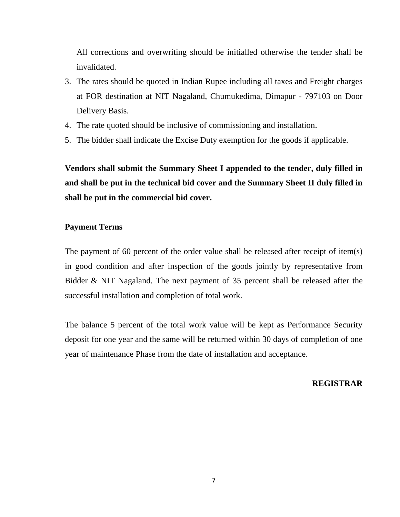All corrections and overwriting should be initialled otherwise the tender shall be invalidated.

- 3. The rates should be quoted in Indian Rupee including all taxes and Freight charges at FOR destination at NIT Nagaland, Chumukedima, Dimapur - 797103 on Door Delivery Basis.
- 4. The rate quoted should be inclusive of commissioning and installation.
- 5. The bidder shall indicate the Excise Duty exemption for the goods if applicable.

**Vendors shall submit the Summary Sheet I appended to the tender, duly filled in and shall be put in the technical bid cover and the Summary Sheet II duly filled in shall be put in the commercial bid cover.**

#### **Payment Terms**

The payment of 60 percent of the order value shall be released after receipt of item(s) in good condition and after inspection of the goods jointly by representative from Bidder & NIT Nagaland. The next payment of 35 percent shall be released after the successful installation and completion of total work.

The balance 5 percent of the total work value will be kept as Performance Security deposit for one year and the same will be returned within 30 days of completion of one year of maintenance Phase from the date of installation and acceptance.

#### **REGISTRAR**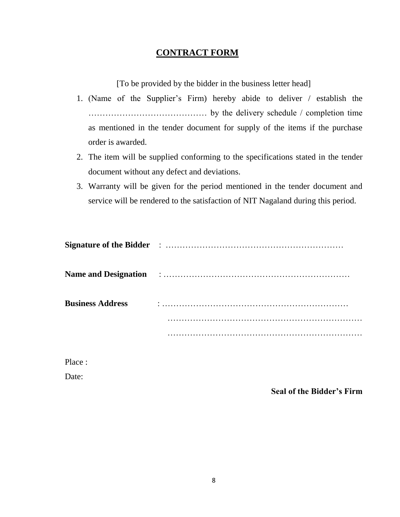## **CONTRACT FORM**

[To be provided by the bidder in the business letter head]

- 1. (Name of the Supplier's Firm) hereby abide to deliver / establish the …………………………………… by the delivery schedule / completion time as mentioned in the tender document for supply of the items if the purchase order is awarded.
- 2. The item will be supplied conforming to the specifications stated in the tender document without any defect and deviations.
- 3. Warranty will be given for the period mentioned in the tender document and service will be rendered to the satisfaction of NIT Nagaland during this period.

| <b>Business Address</b> |  |
|-------------------------|--|
|                         |  |
|                         |  |

Place :

Date:

**Seal of the Bidder's Firm**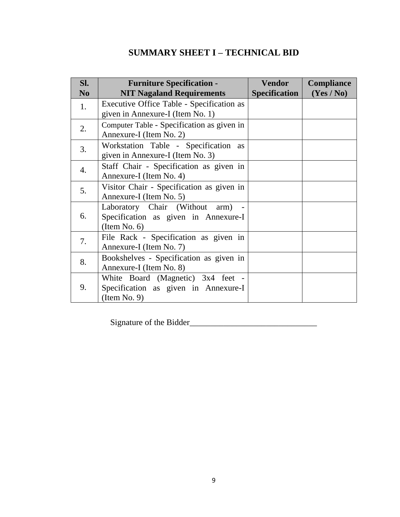# **SUMMARY SHEET I – TECHNICAL BID**

| Sl.<br>N <sub>0</sub> | <b>Furniture Specification -</b><br><b>NIT Nagaland Requirements</b>                      | <b>Vendor</b><br><b>Specification</b> | Compliance<br>(Yes / No) |
|-----------------------|-------------------------------------------------------------------------------------------|---------------------------------------|--------------------------|
| 1.                    | Executive Office Table - Specification as<br>given in Annexure-I (Item No. 1)             |                                       |                          |
| 2.                    | Computer Table - Specification as given in<br>Annexure-I (Item No. 2)                     |                                       |                          |
| 3.                    | Workstation Table - Specification<br>as<br>given in Annexure-I (Item No. 3)               |                                       |                          |
| 4.                    | Staff Chair - Specification as given in<br>Annexure-I (Item No. 4)                        |                                       |                          |
| 5.                    | Visitor Chair - Specification as given in<br>Annexure-I (Item No. 5)                      |                                       |                          |
| 6.                    | Laboratory Chair (Without arm)<br>Specification as given in Annexure-I<br>(Item No. 6)    |                                       |                          |
| 7.                    | File Rack - Specification as given in<br>Annexure-I (Item No. 7)                          |                                       |                          |
| 8.                    | Bookshelves - Specification as given in<br>Annexure-I (Item No. 8)                        |                                       |                          |
| 9.                    | White Board (Magnetic) 3x4 feet -<br>Specification as given in Annexure-I<br>(Item No. 9) |                                       |                          |

Signature of the Bidder\_\_\_\_\_\_\_\_\_\_\_\_\_\_\_\_\_\_\_\_\_\_\_\_\_\_\_\_\_\_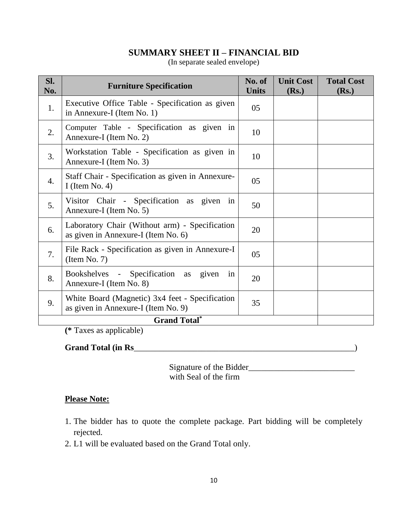## **SUMMARY SHEET II – FINANCIAL BID**

(In separate sealed envelope)

| Sl.<br>No.       | <b>Furniture Specification</b>                                                         | No. of<br><b>Units</b> | <b>Unit Cost</b><br>(Rs.) | <b>Total Cost</b><br>(Rs.) |
|------------------|----------------------------------------------------------------------------------------|------------------------|---------------------------|----------------------------|
| 1.               | Executive Office Table - Specification as given<br>in Annexure-I (Item No. 1)          | 05                     |                           |                            |
| 2.               | Computer Table - Specification as given in<br>Annexure-I (Item No. 2)                  | 10                     |                           |                            |
| 3.               | Workstation Table - Specification as given in<br>Annexure-I (Item No. 3)               | 10                     |                           |                            |
| $\overline{4}$ . | Staff Chair - Specification as given in Annexure-<br>I (Item No. 4)                    | 05                     |                           |                            |
| 5.               | Visitor Chair - Specification as given in<br>Annexure-I (Item No. 5)                   | 50                     |                           |                            |
| 6.               | Laboratory Chair (Without arm) - Specification<br>as given in Annexure-I (Item No. 6)  | 20                     |                           |                            |
| 7.               | File Rack - Specification as given in Annexure-I<br>(Item No. 7)                       | 05                     |                           |                            |
| 8.               | Bookshelves - Specification as given<br>in<br>Annexure-I (Item No. 8)                  | 20                     |                           |                            |
| 9.               | White Board (Magnetic) 3x4 feet - Specification<br>as given in Annexure-I (Item No. 9) | 35                     |                           |                            |
|                  |                                                                                        |                        |                           |                            |

**(\*** Taxes as applicable)

## **Grand Total (in Rs**\_\_\_\_\_\_\_\_\_\_\_\_\_\_\_\_\_\_\_\_\_\_\_\_\_\_\_\_\_\_\_\_\_\_\_\_\_\_\_\_\_\_\_\_\_\_\_\_\_\_\_\_)

 Signature of the Bidder\_\_\_\_\_\_\_\_\_\_\_\_\_\_\_\_\_\_\_\_\_\_\_\_\_ with Seal of the firm

## **Please Note:**

- 1. The bidder has to quote the complete package. Part bidding will be completely rejected.
- 2. L1 will be evaluated based on the Grand Total only.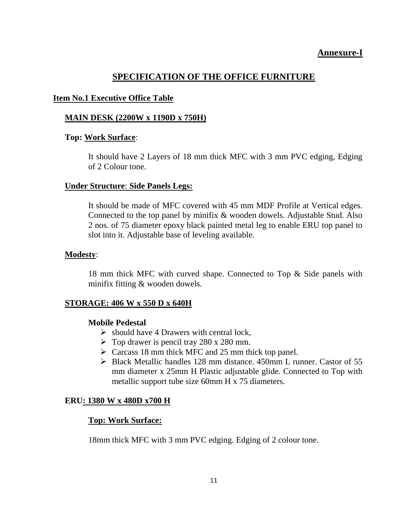## **Annexure-I**

## **SPECIFICATION OF THE OFFICE FURNITURE**

#### **Item No.1 Executive Office Table**

#### **MAIN DESK (2200W x 1190D x 750H)**

#### **Top: Work Surface**:

It should have 2 Layers of 18 mm thick MFC with 3 mm PVC edging, Edging of 2 Colour tone.

#### **Under Structure**: **Side Panels Legs:**

It should be made of MFC covered with 45 mm MDF Profile at Vertical edges. Connected to the top panel by minifix & wooden dowels. Adjustable Stud. Also 2 nos. of 75 diameter epoxy black painted metal leg to enable ERU top panel to slot into it. Adjustable base of leveling available.

#### **Modesty**:

18 mm thick MFC with curved shape. Connected to Top & Side panels with minifix fitting & wooden dowels.

#### **STORAGE: 406 W x 550 D x 640H**

#### **Mobile Pedestal**

- $\triangleright$  should have 4 Drawers with central lock,
- $\triangleright$  Top drawer is pencil tray 280 x 280 mm.
- $\triangleright$  Carcass 18 mm thick MFC and 25 mm thick top panel.
- ➢ Black Metallic handles 128 mm distance. 450mm L runner. Castor of 55 mm diameter x 25mm H Plastic adjustable glide. Connected to Top with metallic support tube size 60mm H x 75 diameters.

#### **ERU: 1380 W x 480D x700 H**

#### **Top: Work Surface:**

18mm thick MFC with 3 mm PVC edging. Edging of 2 colour tone.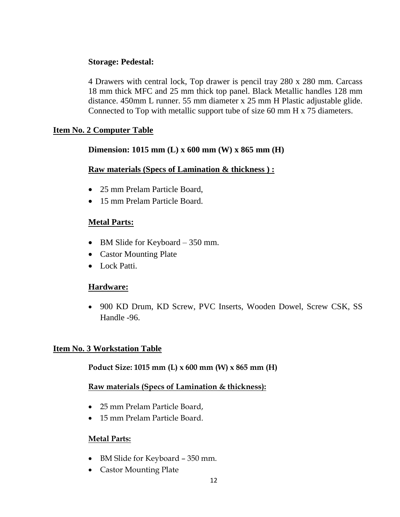## **Storage: Pedestal:**

4 Drawers with central lock, Top drawer is pencil tray 280 x 280 mm. Carcass 18 mm thick MFC and 25 mm thick top panel. Black Metallic handles 128 mm distance. 450mm L runner. 55 mm diameter x 25 mm H Plastic adjustable glide. Connected to Top with metallic support tube of size 60 mm H x 75 diameters.

## **Item No. 2 Computer Table**

## **Dimension: 1015 mm (L) x 600 mm (W) x 865 mm (H)**

#### **Raw materials (Specs of Lamination & thickness ) :**

- 25 mm Prelam Particle Board,
- 15 mm Prelam Particle Board.

## **Metal Parts:**

- BM Slide for Keyboard 350 mm.
- Castor Mounting Plate
- Lock Patti.

#### **Hardware:**

• 900 KD Drum, KD Screw, PVC Inserts, Wooden Dowel, Screw CSK, SS Handle -96.

#### **Item No. 3 Workstation Table**

#### **Poduct Size: 1015 mm (L) x 600 mm (W) x 865 mm (H)**

#### **Raw materials (Specs of Lamination & thickness):**

- 25 mm Prelam Particle Board,
- 15 mm Prelam Particle Board.

#### **Metal Parts:**

- BM Slide for Keyboard 350 mm.
- Castor Mounting Plate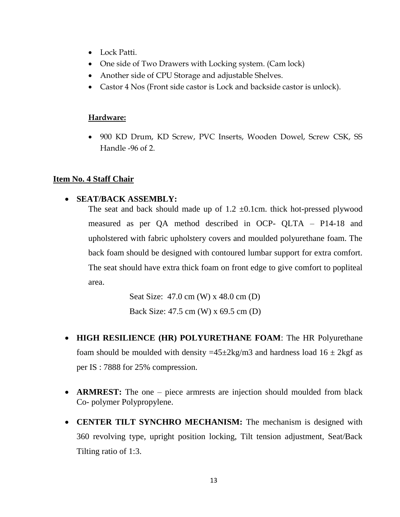- Lock Patti.
- One side of Two Drawers with Locking system. (Cam lock)
- Another side of CPU Storage and adjustable Shelves.
- Castor 4 Nos (Front side castor is Lock and backside castor is unlock).

#### **Hardware:**

• 900 KD Drum, KD Screw, PVC Inserts, Wooden Dowel, Screw CSK, SS Handle -96 of 2.

## **Item No. 4 Staff Chair**

## • **SEAT/BACK ASSEMBLY:**

The seat and back should made up of  $1.2 \pm 0.1$ cm. thick hot-pressed plywood measured as per QA method described in OCP- QLTA – P14-18 and upholstered with fabric upholstery covers and moulded polyurethane foam. The back foam should be designed with contoured lumbar support for extra comfort. The seat should have extra thick foam on front edge to give comfort to popliteal area.

> Seat Size: 47.0 cm (W) x 48.0 cm (D) Back Size: 47.5 cm (W) x 69.5 cm (D)

- **HIGH RESILIENCE (HR) POLYURETHANE FOAM**: The HR Polyurethane foam should be moulded with density  $=45\pm2\text{kg/m}3$  and hardness load  $16\pm2\text{kgf}$  as per IS : 7888 for 25% compression.
- **ARMREST:** The one piece armrests are injection should moulded from black Co- polymer Polypropylene.
- **CENTER TILT SYNCHRO MECHANISM:** The mechanism is designed with 360 revolving type, upright position locking, Tilt tension adjustment, Seat/Back Tilting ratio of 1:3.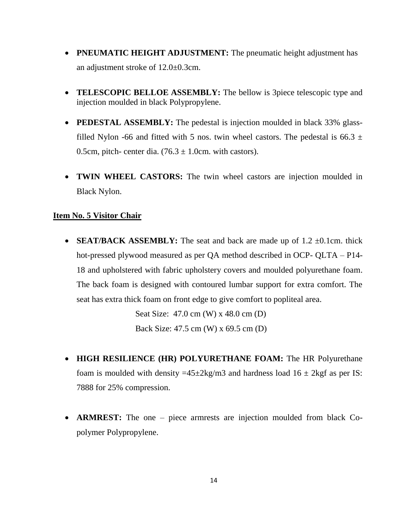- **PNEUMATIC HEIGHT ADJUSTMENT:** The pneumatic height adjustment has an adjustment stroke of 12.0±0.3cm.
- **TELESCOPIC BELLOE ASSEMBLY:** The bellow is 3piece telescopic type and injection moulded in black Polypropylene.
- **PEDESTAL ASSEMBLY:** The pedestal is injection moulded in black 33% glassfilled Nylon -66 and fitted with 5 nos. twin wheel castors. The pedestal is 66.3  $\pm$ 0.5cm, pitch- center dia.  $(76.3 \pm 1.0 \text{cm})$ . with castors).
- **TWIN WHEEL CASTORS:** The twin wheel castors are injection moulded in Black Nylon.

#### **Item No. 5 Visitor Chair**

• **SEAT/BACK ASSEMBLY:** The seat and back are made up of 1.2  $\pm$ 0.1cm. thick hot-pressed plywood measured as per QA method described in OCP- QLTA – P14- 18 and upholstered with fabric upholstery covers and moulded polyurethane foam. The back foam is designed with contoured lumbar support for extra comfort. The seat has extra thick foam on front edge to give comfort to popliteal area.

> Seat Size: 47.0 cm (W) x 48.0 cm (D) Back Size: 47.5 cm (W) x 69.5 cm (D)

- **HIGH RESILIENCE (HR) POLYURETHANE FOAM:** The HR Polyurethane foam is moulded with density  $=45\pm2\text{kg/m}3$  and hardness load  $16\pm2\text{kg}$  as per IS: 7888 for 25% compression.
- **ARMREST:** The one piece armrests are injection moulded from black Copolymer Polypropylene.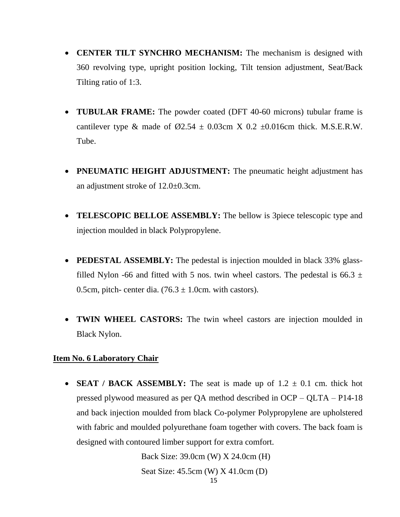- **CENTER TILT SYNCHRO MECHANISM:** The mechanism is designed with 360 revolving type, upright position locking, Tilt tension adjustment, Seat/Back Tilting ratio of 1:3.
- **TUBULAR FRAME:** The powder coated (DFT 40-60 microns) tubular frame is cantilever type & made of  $\emptyset$ 2.54  $\pm$  0.03cm X 0.2  $\pm$ 0.016cm thick. M.S.E.R.W. Tube.
- **PNEUMATIC HEIGHT ADJUSTMENT:** The pneumatic height adjustment has an adjustment stroke of 12.0±0.3cm.
- **TELESCOPIC BELLOE ASSEMBLY:** The bellow is 3piece telescopic type and injection moulded in black Polypropylene.
- **PEDESTAL ASSEMBLY:** The pedestal is injection moulded in black 33% glassfilled Nylon -66 and fitted with 5 nos. twin wheel castors. The pedestal is 66.3  $\pm$ 0.5cm, pitch- center dia.  $(76.3 \pm 1.0 \text{cm})$ . with castors).
- **TWIN WHEEL CASTORS:** The twin wheel castors are injection moulded in Black Nylon.

## **Item No. 6 Laboratory Chair**

• **SEAT / BACK ASSEMBLY:** The seat is made up of  $1.2 \pm 0.1$  cm. thick hot pressed plywood measured as per QA method described in OCP – QLTA – P14-18 and back injection moulded from black Co-polymer Polypropylene are upholstered with fabric and moulded polyurethane foam together with covers. The back foam is designed with contoured limber support for extra comfort.

> 15 Back Size: 39.0cm (W) X 24.0cm (H) Seat Size: 45.5cm (W) X 41.0cm (D)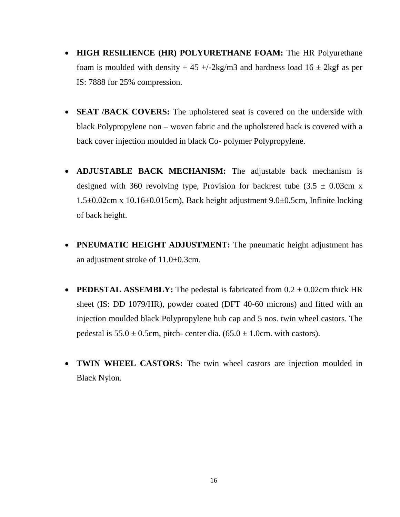- **HIGH RESILIENCE (HR) POLYURETHANE FOAM:** The HR Polyurethane foam is moulded with density  $+ 45 + (-2 \text{kg/m} 3)$  and hardness load  $16 \pm 2 \text{kg}$  as per IS: 7888 for 25% compression.
- **SEAT /BACK COVERS:** The upholstered seat is covered on the underside with black Polypropylene non – woven fabric and the upholstered back is covered with a back cover injection moulded in black Co- polymer Polypropylene.
- **ADJUSTABLE BACK MECHANISM:** The adjustable back mechanism is designed with 360 revolving type, Provision for backrest tube  $(3.5 \pm 0.03 \text{cm x})$ 1.5±0.02cm x 10.16±0.015cm), Back height adjustment 9.0±0.5cm, Infinite locking of back height.
- **PNEUMATIC HEIGHT ADJUSTMENT:** The pneumatic height adjustment has an adjustment stroke of 11.0±0.3cm.
- **PEDESTAL ASSEMBLY:** The pedestal is fabricated from  $0.2 \pm 0.02$ cm thick HR sheet (IS: DD 1079/HR), powder coated (DFT 40-60 microns) and fitted with an injection moulded black Polypropylene hub cap and 5 nos. twin wheel castors. The pedestal is  $55.0 \pm 0.5$ cm, pitch- center dia.  $(65.0 \pm 1.0$ cm. with castors).
- **TWIN WHEEL CASTORS:** The twin wheel castors are injection moulded in Black Nylon.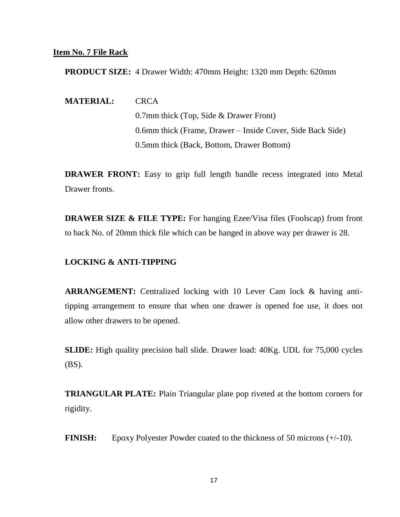#### **Item No. 7 File Rack**

**PRODUCT SIZE:** 4 Drawer Width: 470mm Height: 1320 mm Depth: 620mm

**MATERIAL:** CRCA

0.7mm thick (Top, Side & Drawer Front) 0.6mm thick (Frame, Drawer – Inside Cover, Side Back Side) 0.5mm thick (Back, Bottom, Drawer Bottom)

**DRAWER FRONT:** Easy to grip full length handle recess integrated into Metal Drawer fronts.

**DRAWER SIZE & FILE TYPE:** For hanging Ezee/Visa files (Foolscap) from front to back No. of 20mm thick file which can be hanged in above way per drawer is 28.

#### **LOCKING & ANTI-TIPPING**

**ARRANGEMENT:** Centralized locking with 10 Lever Cam lock & having antitipping arrangement to ensure that when one drawer is opened foe use, it does not allow other drawers to be opened.

**SLIDE:** High quality precision ball slide. Drawer load: 40Kg. UDL for 75,000 cycles (BS).

**TRIANGULAR PLATE:** Plain Triangular plate pop riveted at the bottom corners for rigidity.

**FINISH:** Epoxy Polyester Powder coated to the thickness of 50 microns (+/-10).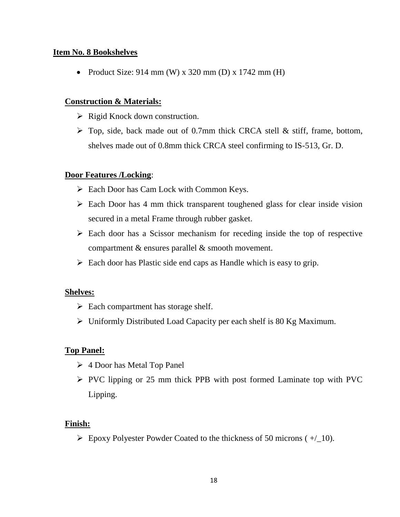#### **Item No. 8 Bookshelves**

• Product Size:  $914 \text{ mm}$  (W) x 320 mm (D) x 1742 mm (H)

## **Construction & Materials:**

- $\triangleright$  Rigid Knock down construction.
- $\triangleright$  Top, side, back made out of 0.7mm thick CRCA stell & stiff, frame, bottom, shelves made out of 0.8mm thick CRCA steel confirming to IS-513, Gr. D.

## **Door Features /Locking**:

- ➢ Each Door has Cam Lock with Common Keys.
- ➢ Each Door has 4 mm thick transparent toughened glass for clear inside vision secured in a metal Frame through rubber gasket.
- ➢ Each door has a Scissor mechanism for receding inside the top of respective compartment & ensures parallel & smooth movement.
- $\triangleright$  Each door has Plastic side end caps as Handle which is easy to grip.

## **Shelves:**

- $\triangleright$  Each compartment has storage shelf.
- ➢ Uniformly Distributed Load Capacity per each shelf is 80 Kg Maximum.

## **Top Panel:**

- ➢ 4 Door has Metal Top Panel
- ➢ PVC lipping or 25 mm thick PPB with post formed Laminate top with PVC Lipping.

## **Finish:**

 $\triangleright$  Epoxy Polyester Powder Coated to the thickness of 50 microns ( $+$ / 10).